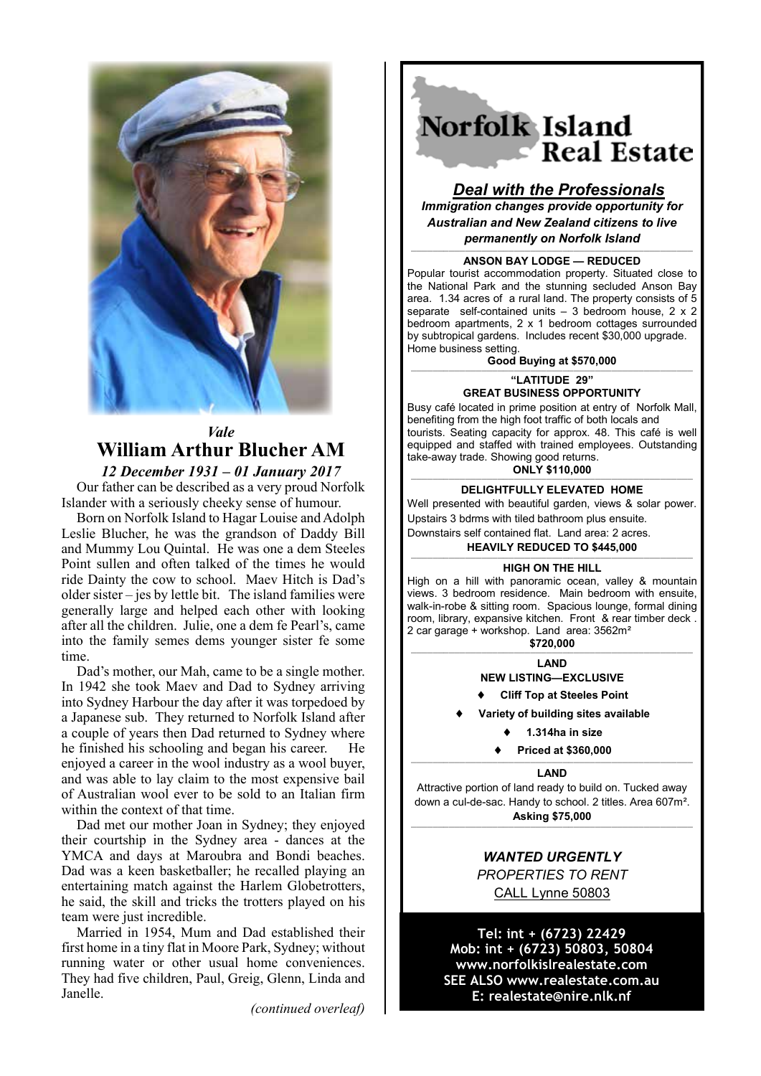

# *Vale* **William Arthur Blucher AM** *12 December 1931 – 01 January 2017*

Our father can be described as a very proud Norfolk Islander with a seriously cheeky sense of humour.

Born on Norfolk Island to Hagar Louise and Adolph Leslie Blucher, he was the grandson of Daddy Bill and Mummy Lou Quintal. He was one a dem Steeles Point sullen and often talked of the times he would ride Dainty the cow to school. Maev Hitch is Dad's older sister – jes by lettle bit. The island families were generally large and helped each other with looking after all the children. Julie, one a dem fe Pearl's, came into the family semes dems younger sister fe some time.

Dad's mother, our Mah, came to be a single mother. In 1942 she took Maev and Dad to Sydney arriving into Sydney Harbour the day after it was torpedoed by a Japanese sub. They returned to Norfolk Island after a couple of years then Dad returned to Sydney where he finished his schooling and began his career. He enjoyed a career in the wool industry as a wool buyer, and was able to lay claim to the most expensive bail of Australian wool ever to be sold to an Italian firm within the context of that time.

Dad met our mother Joan in Sydney; they enjoyed their courtship in the Sydney area - dances at the YMCA and days at Maroubra and Bondi beaches. Dad was a keen basketballer; he recalled playing an entertaining match against the Harlem Globetrotters, he said, the skill and tricks the trotters played on his team were just incredible.

Married in 1954, Mum and Dad established their first home in a tiny flat in Moore Park, Sydney; without running water or other usual home conveniences. They had five children, Paul, Greig, Glenn, Linda and Janelle.

*(continued overleaf)*

# Norfolk Island **Real Estate**

# *Deal with the Professionals*

*Immigration changes provide opportunity for Australian and New Zealand citizens to live permanently on Norfolk Island*

# ———————————————————————————————————————————————————— **ANSON BAY LODGE — REDUCED**

Popular tourist accommodation property. Situated close to the National Park and the stunning secluded Anson Bay area. 1.34 acres of a rural land. The property consists of 5 separate self-contained units – 3 bedroom house, 2 x 2 bedroom apartments, 2 x 1 bedroom cottages surrounded by subtropical gardens. Includes recent \$30,000 upgrade. Home business setting.

**Good Buying at \$570,000**

———————————————————————————————————————————————————— **"LATITUDE 29" GREAT BUSINESS OPPORTUNITY**

Busy café located in prime position at entry of Norfolk Mall, benefiting from the high foot traffic of both locals and tourists. Seating capacity for approx. 48. This café is well equipped and staffed with trained employees. Outstanding take-away trade. Showing good returns.

#### **ONLY \$110,000** *————————————————————————————————————————————————————*

#### **DELIGHTFULLY ELEVATED HOME**

Well presented with beautiful garden, views & solar power. Upstairs 3 bdrms with tiled bathroom plus ensuite. Downstairs self contained flat. Land area: 2 acres.

#### **HEAVILY REDUCED TO \$445,000**

#### *————————————————————————————————————————————————————* **HIGH ON THE HILL**

High on a hill with panoramic ocean, valley & mountain views. 3 bedroom residence. Main bedroom with ensuite, walk-in-robe & sitting room. Spacious lounge, formal dining room, library, expansive kitchen. Front & rear timber deck 2 car garage + workshop. Land area: 3562m² **\$720,000**

*————————————————————————————————————————————————————* **LAND**

**NEW LISTING—EXCLUSIVE**

**Cliff Top at Steeles Point**

**Variety of building sites available**

**1.314ha in size**

**Priced at \$360,000**

#### *————————————————————————————————————————————————————* **LAND**

Attractive portion of land ready to build on. Tucked away down a cul-de-sac. Handy to school. 2 titles. Area 607m². **Asking \$75,000**

*————————————————————————————————————————————————————*

### *WANTED URGENTLY PROPERTIES TO RENT* CALL Lynne 50803

**Tel: int + (6723) 22429 Mob: int + (6723) 50803, 50804 www.norfolkislrealestate.com SEE ALSO www.realestate.com.au E: realestate@nire.nlk.nf**